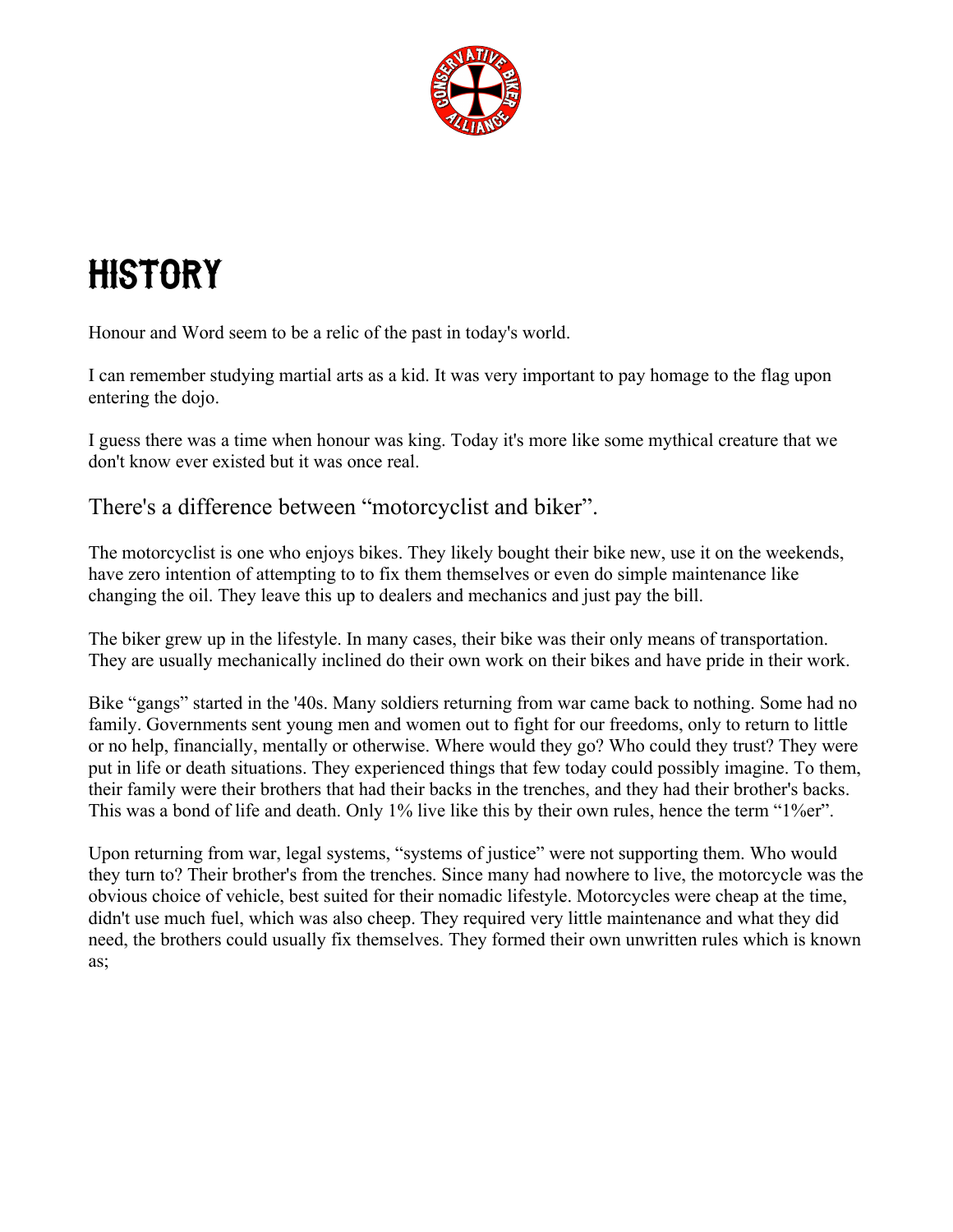

## **HISTORY**

Honour and Word seem to be a relic of the past in today's world.

I can remember studying martial arts as a kid. It was very important to pay homage to the flag upon entering the dojo.

I guess there was a time when honour was king. Today it's more like some mythical creature that we don't know ever existed but it was once real.

There's a difference between "motorcyclist and biker".

The motorcyclist is one who enjoys bikes. They likely bought their bike new, use it on the weekends, have zero intention of attempting to to fix them themselves or even do simple maintenance like changing the oil. They leave this up to dealers and mechanics and just pay the bill.

The biker grew up in the lifestyle. In many cases, their bike was their only means of transportation. They are usually mechanically inclined do their own work on their bikes and have pride in their work.

Bike "gangs" started in the '40s. Many soldiers returning from war came back to nothing. Some had no family. Governments sent young men and women out to fight for our freedoms, only to return to little or no help, financially, mentally or otherwise. Where would they go? Who could they trust? They were put in life or death situations. They experienced things that few today could possibly imagine. To them, their family were their brothers that had their backs in the trenches, and they had their brother's backs. This was a bond of life and death. Only 1% live like this by their own rules, hence the term "1%er".

Upon returning from war, legal systems, "systems of justice" were not supporting them. Who would they turn to? Their brother's from the trenches. Since many had nowhere to live, the motorcycle was the obvious choice of vehicle, best suited for their nomadic lifestyle. Motorcycles were cheap at the time, didn't use much fuel, which was also cheep. They required very little maintenance and what they did need, the brothers could usually fix themselves. They formed their own unwritten rules which is known as;